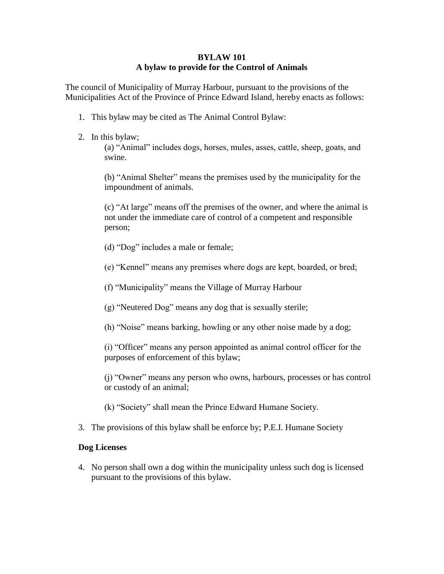#### **BYLAW 101 A bylaw to provide for the Control of Animals**

The council of Municipality of Murray Harbour, pursuant to the provisions of the Municipalities Act of the Province of Prince Edward Island, hereby enacts as follows:

- 1. This bylaw may be cited as The Animal Control Bylaw:
- 2. In this bylaw;

(a) "Animal" includes dogs, horses, mules, asses, cattle, sheep, goats, and swine.

(b) "Animal Shelter" means the premises used by the municipality for the impoundment of animals.

(c) "At large" means off the premises of the owner, and where the animal is not under the immediate care of control of a competent and responsible person;

- (d) "Dog" includes a male or female;
- (e) "Kennel" means any premises where dogs are kept, boarded, or bred;
- (f) "Municipality" means the Village of Murray Harbour
- (g) "Neutered Dog" means any dog that is sexually sterile;
- (h) "Noise" means barking, howling or any other noise made by a dog;

(i) "Officer" means any person appointed as animal control officer for the purposes of enforcement of this bylaw;

(j) "Owner" means any person who owns, harbours, processes or has control or custody of an animal;

(k) "Society" shall mean the Prince Edward Humane Society.

3. The provisions of this bylaw shall be enforce by; P.E.I. Humane Society

### **Dog Licenses**

4. No person shall own a dog within the municipality unless such dog is licensed pursuant to the provisions of this bylaw.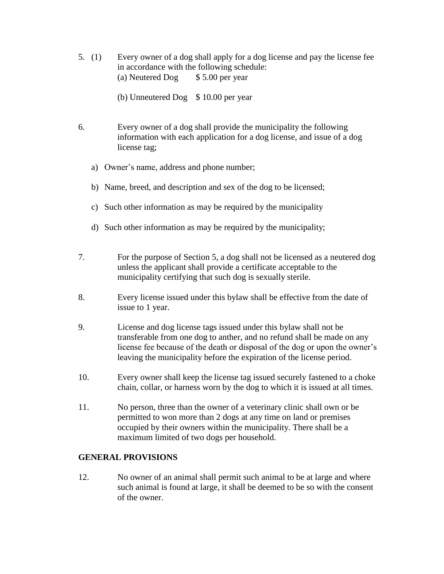- 5. (1) Every owner of a dog shall apply for a dog license and pay the license fee in accordance with the following schedule: (a) Neutered Dog  $$ 5.00$  per year
	- (b) Unneutered Dog  $$ 10.00$  per year
- 6. Every owner of a dog shall provide the municipality the following information with each application for a dog license, and issue of a dog license tag;
	- a) Owner's name, address and phone number;
	- b) Name, breed, and description and sex of the dog to be licensed;
	- c) Such other information as may be required by the municipality
	- d) Such other information as may be required by the municipality;
- 7. For the purpose of Section 5, a dog shall not be licensed as a neutered dog unless the applicant shall provide a certificate acceptable to the municipality certifying that such dog is sexually sterile.
- 8. Every license issued under this bylaw shall be effective from the date of issue to 1 year.
- 9. License and dog license tags issued under this bylaw shall not be transferable from one dog to anther, and no refund shall be made on any license fee because of the death or disposal of the dog or upon the owner's leaving the municipality before the expiration of the license period.
- 10. Every owner shall keep the license tag issued securely fastened to a choke chain, collar, or harness worn by the dog to which it is issued at all times.
- 11. No person, three than the owner of a veterinary clinic shall own or be permitted to won more than 2 dogs at any time on land or premises occupied by their owners within the municipality. There shall be a maximum limited of two dogs per household.

#### **GENERAL PROVISIONS**

12. No owner of an animal shall permit such animal to be at large and where such animal is found at large, it shall be deemed to be so with the consent of the owner.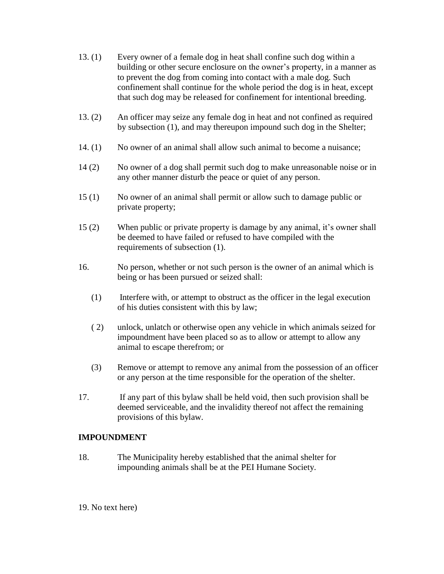- 13. (1) Every owner of a female dog in heat shall confine such dog within a building or other secure enclosure on the owner's property, in a manner as to prevent the dog from coming into contact with a male dog. Such confinement shall continue for the whole period the dog is in heat, except that such dog may be released for confinement for intentional breeding.
- 13. (2) An officer may seize any female dog in heat and not confined as required by subsection (1), and may thereupon impound such dog in the Shelter;
- 14. (1) No owner of an animal shall allow such animal to become a nuisance;
- 14 (2) No owner of a dog shall permit such dog to make unreasonable noise or in any other manner disturb the peace or quiet of any person.
- 15 (1) No owner of an animal shall permit or allow such to damage public or private property;
- 15 (2) When public or private property is damage by any animal, it's owner shall be deemed to have failed or refused to have compiled with the requirements of subsection (1).
- 16. No person, whether or not such person is the owner of an animal which is being or has been pursued or seized shall:
	- (1) Interfere with, or attempt to obstruct as the officer in the legal execution of his duties consistent with this by law;
	- ( 2) unlock, unlatch or otherwise open any vehicle in which animals seized for impoundment have been placed so as to allow or attempt to allow any animal to escape therefrom; or
	- (3) Remove or attempt to remove any animal from the possession of an officer or any person at the time responsible for the operation of the shelter.
- 17. If any part of this bylaw shall be held void, then such provision shall be deemed serviceable, and the invalidity thereof not affect the remaining provisions of this bylaw.

### **IMPOUNDMENT**

- 18. The Municipality hereby established that the animal shelter for impounding animals shall be at the PEI Humane Society.
- 19. No text here)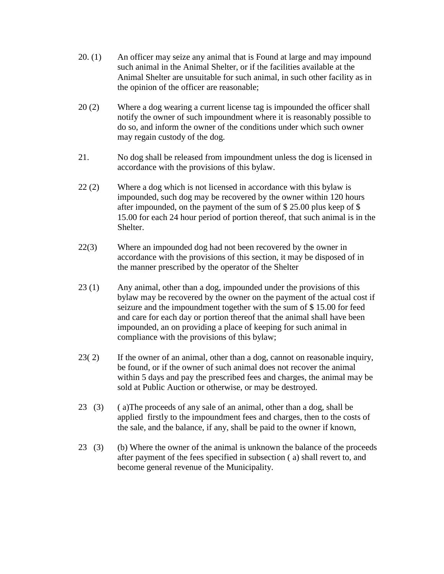- 20. (1) An officer may seize any animal that is Found at large and may impound such animal in the Animal Shelter, or if the facilities available at the Animal Shelter are unsuitable for such animal, in such other facility as in the opinion of the officer are reasonable;
- 20 (2) Where a dog wearing a current license tag is impounded the officer shall notify the owner of such impoundment where it is reasonably possible to do so, and inform the owner of the conditions under which such owner may regain custody of the dog.
- 21. No dog shall be released from impoundment unless the dog is licensed in accordance with the provisions of this bylaw.
- 22 (2) Where a dog which is not licensed in accordance with this bylaw is impounded, such dog may be recovered by the owner within 120 hours after impounded, on the payment of the sum of \$ 25.00 plus keep of \$ 15.00 for each 24 hour period of portion thereof, that such animal is in the Shelter.
- 22(3) Where an impounded dog had not been recovered by the owner in accordance with the provisions of this section, it may be disposed of in the manner prescribed by the operator of the Shelter
- 23 (1) Any animal, other than a dog, impounded under the provisions of this bylaw may be recovered by the owner on the payment of the actual cost if seizure and the impoundment together with the sum of \$ 15.00 for feed and care for each day or portion thereof that the animal shall have been impounded, an on providing a place of keeping for such animal in compliance with the provisions of this bylaw;
- 23( 2) If the owner of an animal, other than a dog, cannot on reasonable inquiry, be found, or if the owner of such animal does not recover the animal within 5 days and pay the prescribed fees and charges, the animal may be sold at Public Auction or otherwise, or may be destroyed.
- 23 (3) ( a)The proceeds of any sale of an animal, other than a dog, shall be applied firstly to the impoundment fees and charges, then to the costs of the sale, and the balance, if any, shall be paid to the owner if known,
- 23 (3) (b) Where the owner of the animal is unknown the balance of the proceeds after payment of the fees specified in subsection ( a) shall revert to, and become general revenue of the Municipality.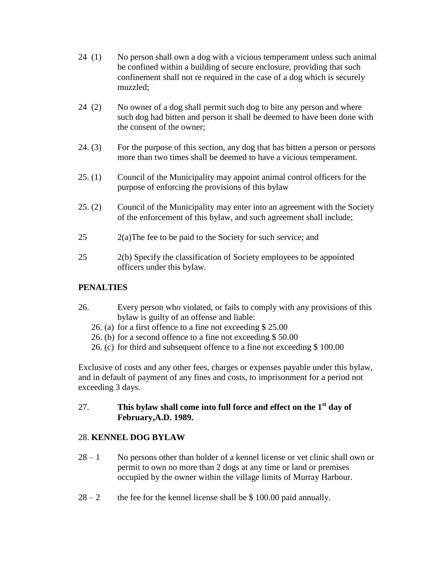- 24 (1) No person shall own a dog with a vicious temperament unless such animal be confined within a building of secure enclosure, providing that such confinement shall not re required in the case of a dog which is securely muzzled;
- 24 (2) No owner of a dog shall permit such dog to bite any person and where such dog had bitten and person it shall be deemed to have been done with the consent of the owner;
- 24. (3) For the purpose of this section, any dog that has bitten a person or persons more than two times shall be deemed to have a vicious temperament.
- 25. (1) Council of the Municipality may appoint animal control officers for the purpose of enforcing the provisions of this bylaw
- 25. (2) Council of the Municipality may enter into an agreement with the Society of the enforcement of this bylaw, and such agreement shall include;
- 25 2(a)The fee to be paid to the Society for such service; and
- 25 2(b) Specify the classification of Society employees to be appointed officers under this bylaw.

## **PENALTIES**

- 26. Every person who violated, or fails to comply with any provisions of this bylaw is guilty of an offense and liable:
	- 26. (a) for a first offence to a fine not exceeding \$ 25.00
	- 26. (b) for a second offence to a fine not exceeding \$ 50.00
	- 26. (c) for third and subsequent offence to a fine not exceeding \$ 100.00

Exclusive of costs and any other fees, charges or expenses payable under this bylaw, and in default of payment of any fines and costs, to imprisonment for a period not exceeding 3 days.

#### 27. **This bylaw shall come into full force and effect on the 1st day of February,A.D. 1989.**

# 28. **KENNEL DOG BYLAW**

- $28 1$  No persons other than holder of a kennel license or vet clinic shall own or permit to own no more than 2 dogs at any time or land or premises occupied by the owner within the village limits of Murray Harbour.
- $28 2$  the fee for the kennel license shall be \$ 100.00 paid annually.